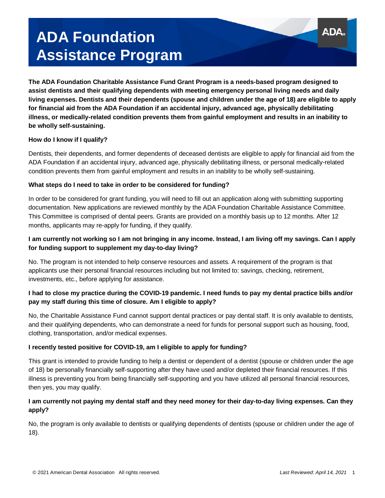# **ADA Foundation Assistance Program**

**The ADA Foundation Charitable Assistance Fund Grant Program is a needs-based program designed to assist dentists and their qualifying dependents with meeting emergency personal living needs and daily living expenses. Dentists and their dependents (spouse and children under the age of 18) are eligible to apply for financial aid from the ADA Foundation if an accidental injury, advanced age, physically debilitating illness, or medically-related condition prevents them from gainful employment and results in an inability to be wholly self-sustaining.** 

### **How do I know if I qualify?**

Dentists, their dependents, and former dependents of deceased dentists are eligible to apply for financial aid from the ADA Foundation if an accidental injury, advanced age, physically debilitating illness, or personal medically-related condition prevents them from gainful employment and results in an inability to be wholly self-sustaining.

## **What steps do I need to take in order to be considered for funding?**

In order to be considered for grant funding, you will need to fill out an application along with submitting supporting documentation. New applications are reviewed monthly by the ADA Foundation Charitable Assistance Committee. This Committee is comprised of dental peers. Grants are provided on a monthly basis up to 12 months. After 12 months, applicants may re-apply for funding, if they qualify.

# **I am currently not working so I am not bringing in any income. Instead, I am living off my savings. Can I apply for funding support to supplement my day-to-day living?**

No. The program is not intended to help conserve resources and assets. A requirement of the program is that applicants use their personal financial resources including but not limited to: savings, checking, retirement, investments, etc., before applying for assistance.

# **I had to close my practice during the COVID-19 pandemic. I need funds to pay my dental practice bills and/or pay my staff during this time of closure. Am I eligible to apply?**

No, the Charitable Assistance Fund cannot support dental practices or pay dental staff. It is only available to dentists, and their qualifying dependents, who can demonstrate a need for funds for personal support such as housing, food, clothing, transportation, and/or medical expenses.

### **I recently tested positive for COVID-19, am I eligible to apply for funding?**

This grant is intended to provide funding to help a dentist or dependent of a dentist (spouse or children under the age of 18) be personally financially self-supporting after they have used and/or depleted their financial resources. If this illness is preventing you from being financially self-supporting and you have utilized all personal financial resources, then yes, you may qualify.

## **I am currently not paying my dental staff and they need money for their day-to-day living expenses. Can they apply?**

No, the program is only available to dentists or qualifying dependents of dentists (spouse or children under the age of 18).